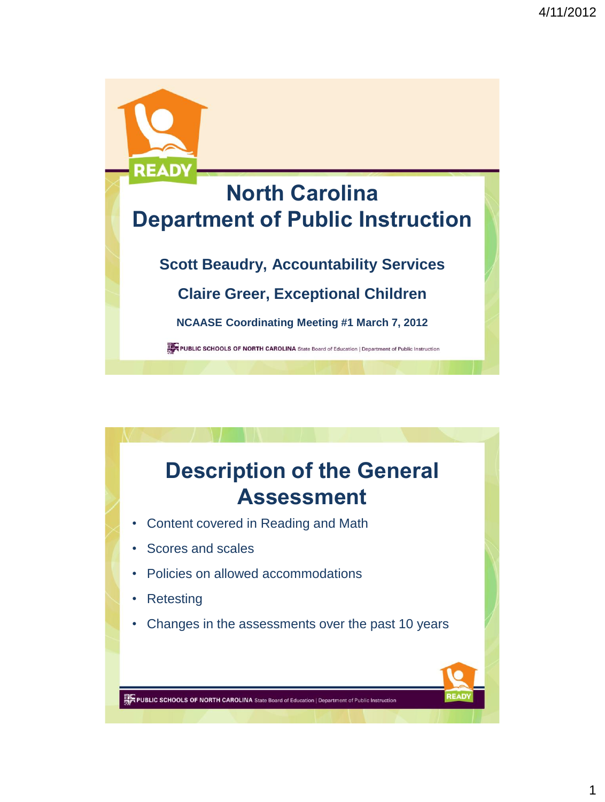

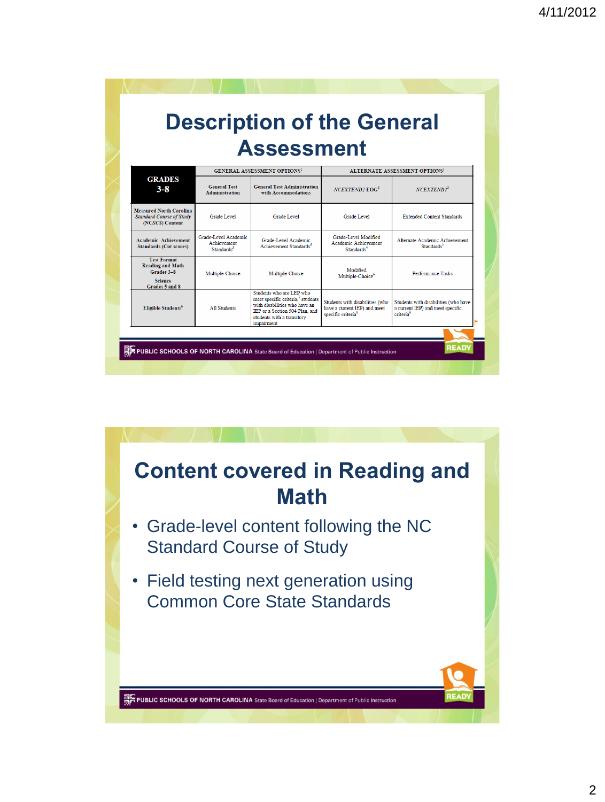|                                                                                                 | <b>Description of the General</b><br><b>Assessment</b>        |                                                                                                                                                                                          |                                                                                                   |                                                                                                   |  |  |
|-------------------------------------------------------------------------------------------------|---------------------------------------------------------------|------------------------------------------------------------------------------------------------------------------------------------------------------------------------------------------|---------------------------------------------------------------------------------------------------|---------------------------------------------------------------------------------------------------|--|--|
|                                                                                                 |                                                               | <b>GENERAL ASSESSMENT OPTIONS1</b>                                                                                                                                                       | ALTERNATE ASSESSMENT OPTIONS <sup>1</sup>                                                         |                                                                                                   |  |  |
| <b>GRADES</b><br>$3 - 8$                                                                        | <b>General Test</b><br><b>Administration</b>                  | <b>General Test Administration</b><br>with Accommodations                                                                                                                                | $NCFXTEND2$ $EOG2$                                                                                | NCEXTEND1 <sup>2</sup>                                                                            |  |  |
| <b>Measured North Carolina</b><br><b>Standard Course of Study</b><br>(NCSCS) Content            | Grade Level                                                   | Grade Level                                                                                                                                                                              | Grade Level                                                                                       | <b>Extended Content Standards</b>                                                                 |  |  |
| <b>Academic Achievement</b><br><b>Standards (Cut scores)</b>                                    | Grade-Level Academic<br>Achievement<br>Standards <sup>3</sup> | Grade-Level Academic<br>Achievement Standards <sup>3</sup>                                                                                                                               | Grade-Level Modified<br>Academic Achievement<br>Standards <sup>4</sup>                            | Alternate Academic Achievement<br>Standards <sup>5</sup>                                          |  |  |
| <b>Test Format</b><br><b>Reading and Math</b><br>Grades 3-8<br><b>Science</b><br>Grades 5 and 8 | Multiple-Choice                                               | Multiple-Choice                                                                                                                                                                          | Modified<br>Multiple-Choice <sup>o</sup>                                                          | <b>Performance Tasks</b>                                                                          |  |  |
| Eligible Students <sup>6</sup>                                                                  | All Students                                                  | Students who are LEP who<br>meet specific criteria. <sup>7</sup> students<br>with disabilities who have an<br>IEP or a Section 504 Plan, and<br>students with a transitory<br>impairment | Students with disabilities (who<br>have a current IEP) and meet<br>specific criteria <sup>6</sup> | Students with disabilities (who have<br>a current IEP) and meet specific<br>criteria <sup>6</sup> |  |  |

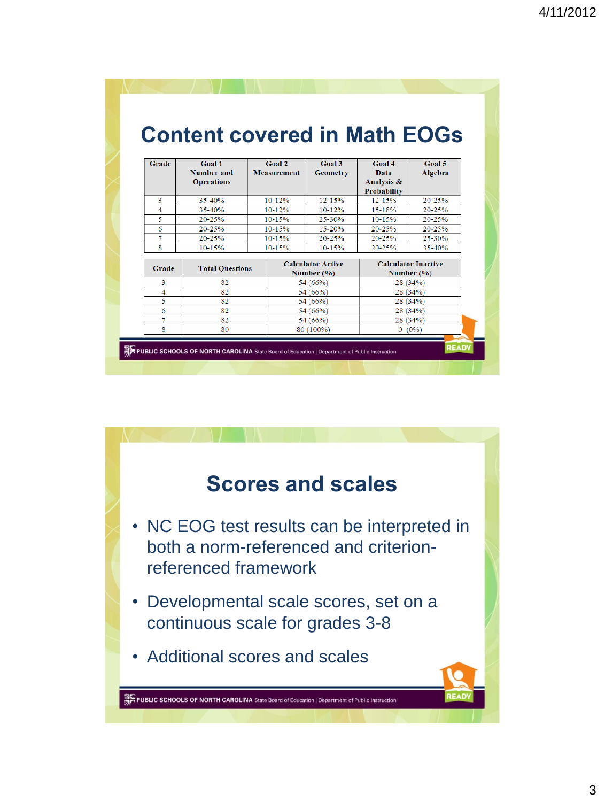| Grade | Goal 1                          | Goal 2                                   | Goal 3          | <b>Goal 4</b>                              | <b>Goal 5</b> |
|-------|---------------------------------|------------------------------------------|-----------------|--------------------------------------------|---------------|
|       | Number and<br><b>Operations</b> | <b>Measurement</b>                       | <b>Geometry</b> | Data<br>Analysis &<br><b>Probability</b>   | Algebra       |
| 3     | $35 - 40%$                      | $10 - 12%$                               | $12 - 15%$      | $12 - 15%$                                 | 20-25%        |
| 4     | $35 - 40%$                      | $10 - 12%$                               | $10 - 12%$      | $15 - 18%$                                 | $20 - 25%$    |
| 5     | $20 - 25%$                      | $10 - 15%$                               | 25-30%          | $10 - 15%$                                 | 20-25%        |
| 6     | $20 - 25%$                      | $10 - 15%$                               | 15-20%          | $20 - 25%$                                 | $20 - 25%$    |
| 7     | $20 - 25%$                      | 10-15%                                   | $20 - 25%$      | $20 - 25%$                                 | $25 - 30%$    |
| 8     | $10 - 15%$                      | $10 - 15%$                               | $10 - 15%$      | 20 25%                                     | 35-40%        |
| Grade | <b>Total Questions</b>          | <b>Calculator Active</b><br>Number $(%)$ |                 | <b>Calculator Inactive</b><br>Number $(%)$ |               |
| 3     | 82                              |                                          | 54 (66%)        | 28(34%)                                    |               |
| 4     | 82                              |                                          | 54 (66%)        | 28 (34%)                                   |               |
| 5     | 82                              |                                          | 54 (66%)        | 28 (34%)                                   |               |
| 6     | 82                              |                                          | 54 (66%)        | 28 (34%)                                   |               |
| 7     | 82                              |                                          | 54 (66%)        | 28 (34%)                                   |               |
| 8     | 80                              |                                          | 80 (100%)       | $0(0\%)$                                   |               |

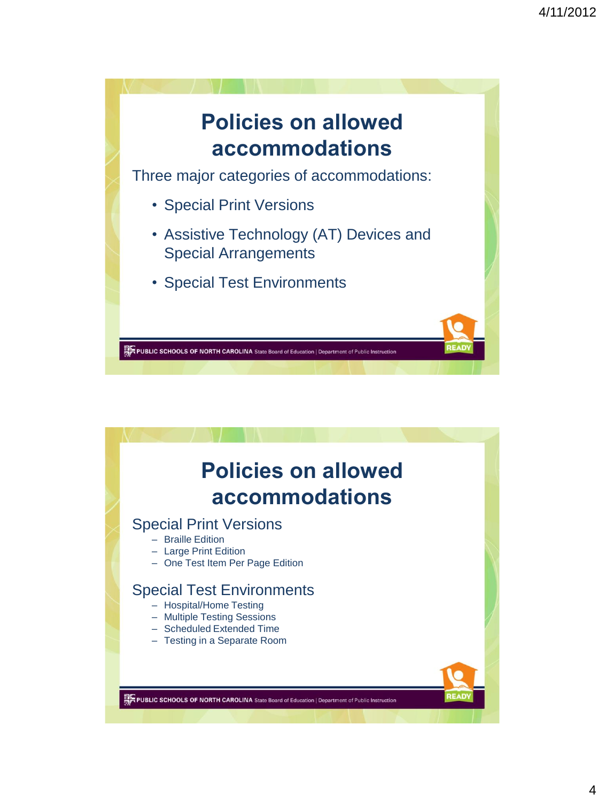

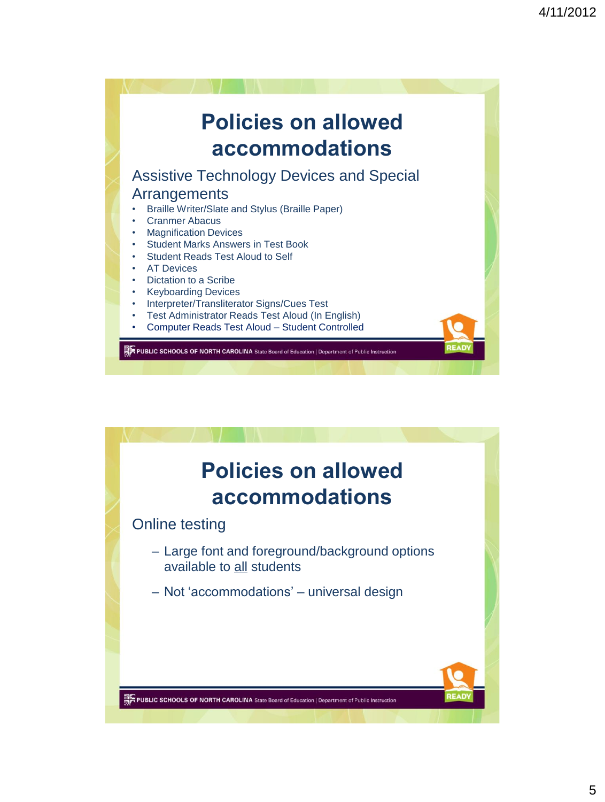

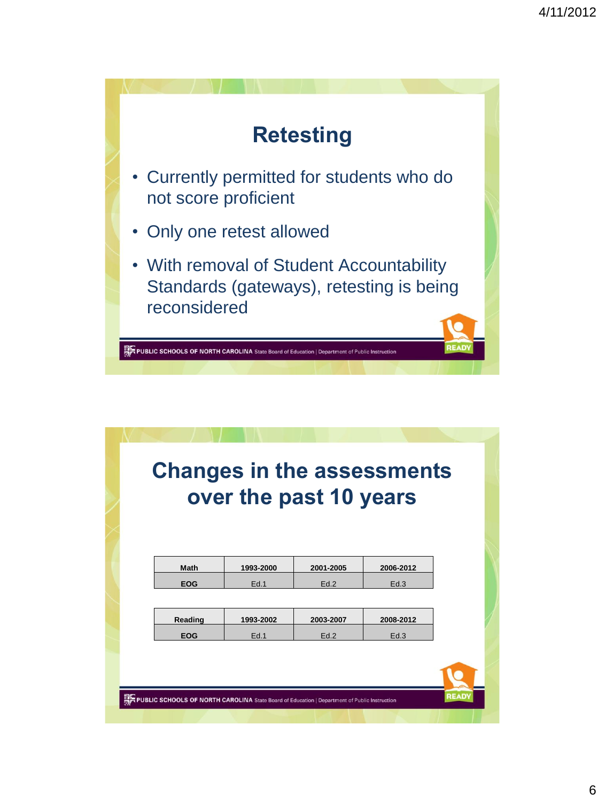

| over the past 10 years |           |           |           |  |  |  |  |  |
|------------------------|-----------|-----------|-----------|--|--|--|--|--|
|                        |           |           |           |  |  |  |  |  |
| <b>Math</b>            | 1993-2000 | 2001-2005 | 2006-2012 |  |  |  |  |  |
| <b>EOG</b>             | Ed.1      | Ed.2      | Ed.3      |  |  |  |  |  |
|                        |           |           |           |  |  |  |  |  |
| Reading                | 1993-2002 | 2003-2007 | 2008-2012 |  |  |  |  |  |
| <b>EOG</b>             | Ed.1      | Ed.2      | Ed.3      |  |  |  |  |  |
|                        |           |           |           |  |  |  |  |  |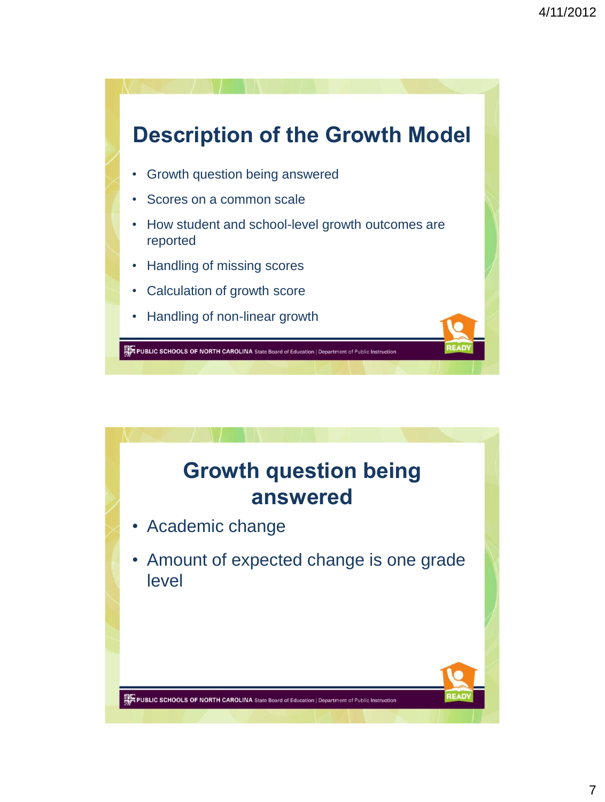

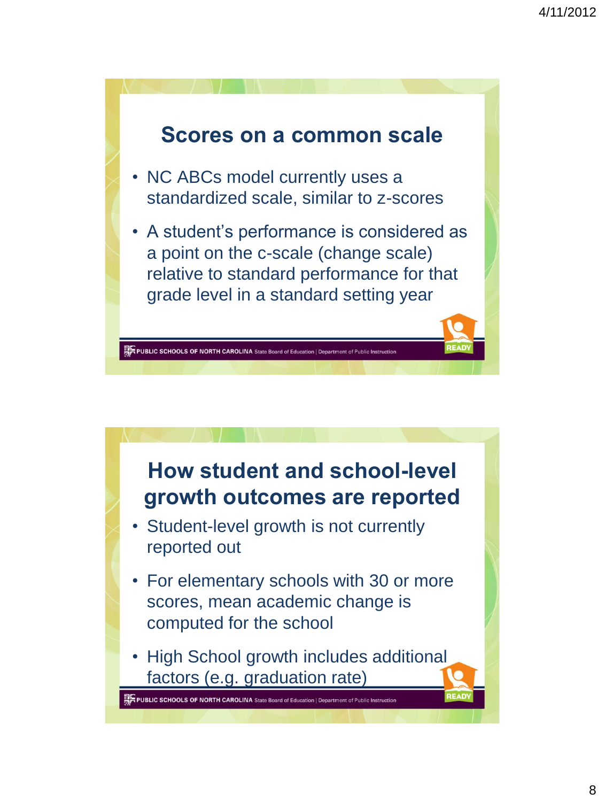

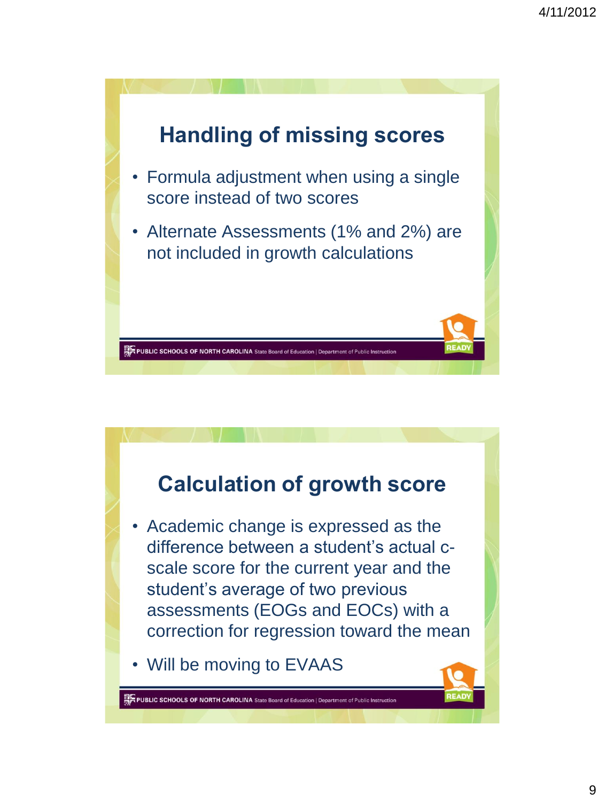

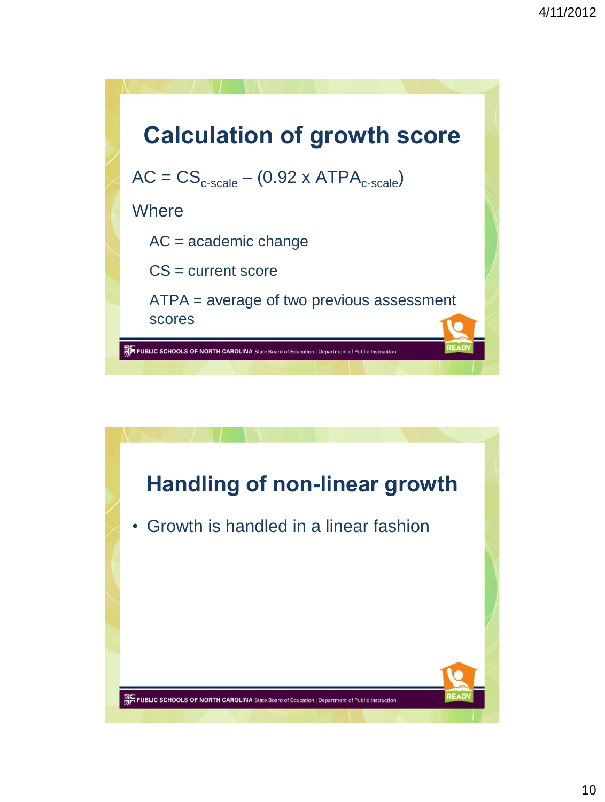

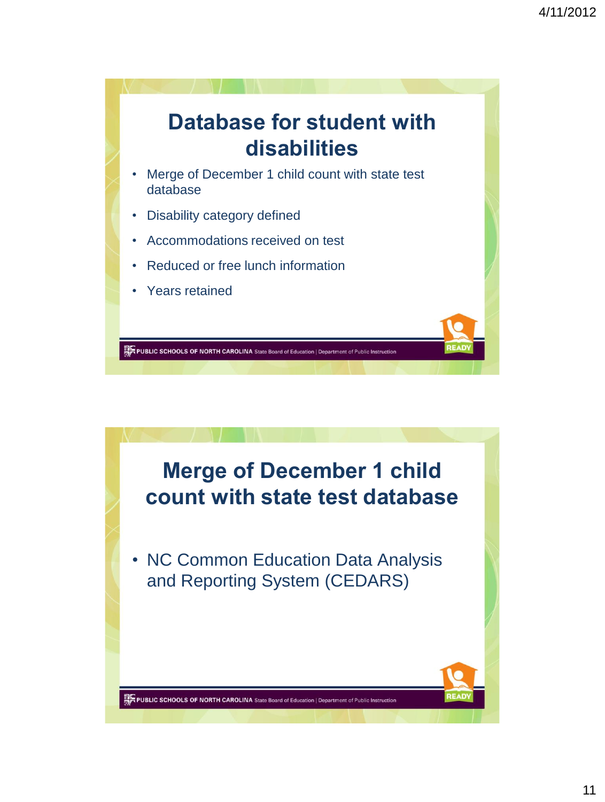

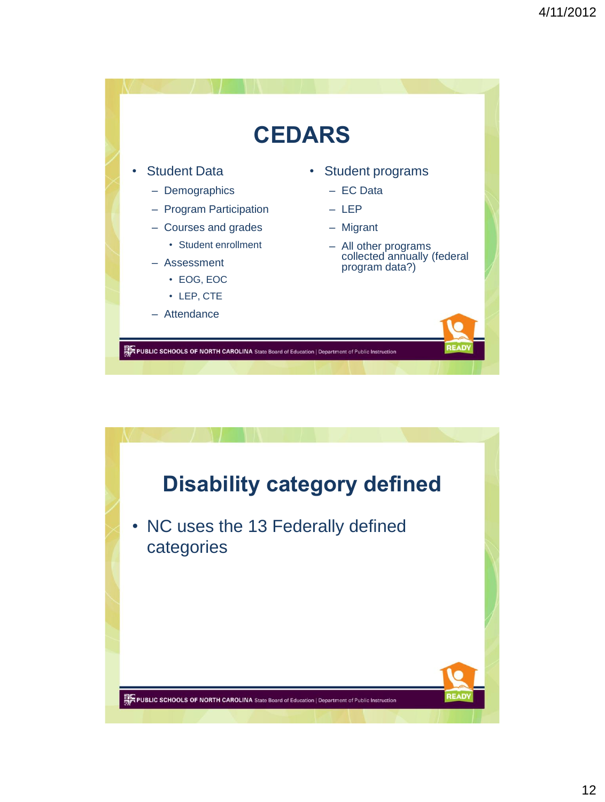

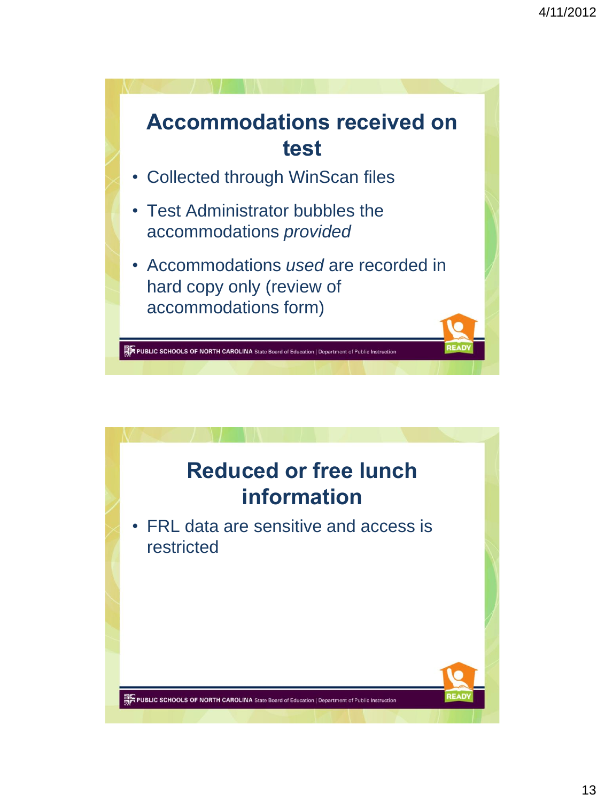